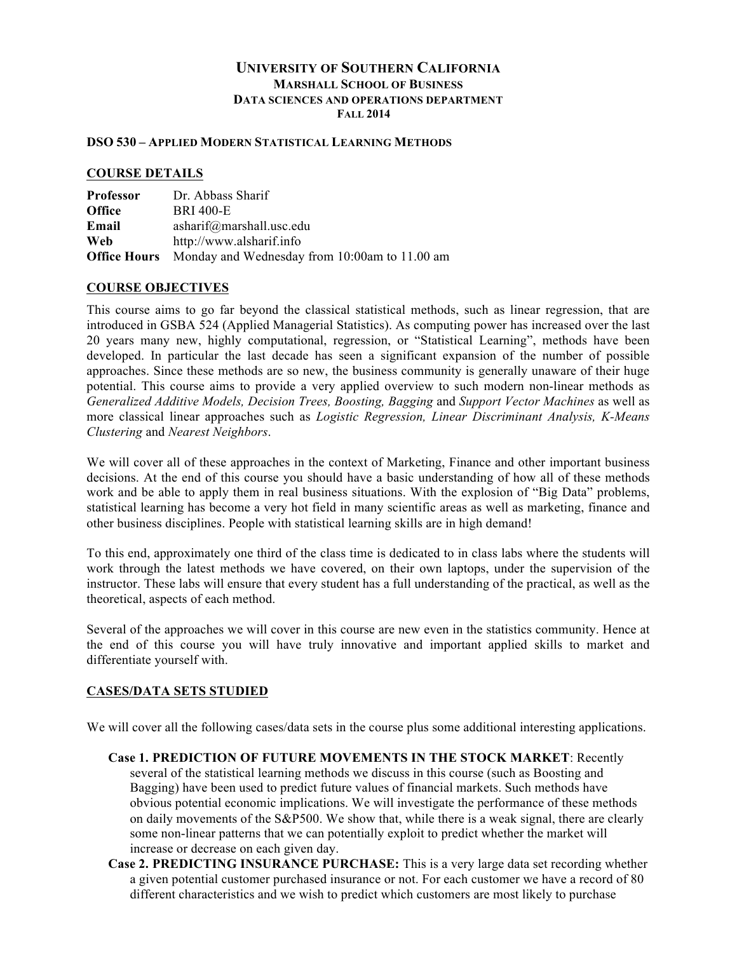#### **UNIVERSITY OF SOUTHERN CALIFORNIA MARSHALL SCHOOL OF BUSINESS DATA SCIENCES AND OPERATIONS DEPARTMENT FALL 2014**

#### **DSO 530 – APPLIED MODERN STATISTICAL LEARNING METHODS**

#### **COURSE DETAILS**

| <b>Professor</b>    | Dr. Abbass Sharif                             |
|---------------------|-----------------------------------------------|
| <b>Office</b>       | <b>BRI 400-E</b>                              |
| Email               | asharif@marshall.usc.edu                      |
| Web                 | http://www.alsharif.info                      |
| <b>Office Hours</b> | Monday and Wednesday from 10:00am to 11.00 am |

#### **COURSE OBJECTIVES**

This course aims to go far beyond the classical statistical methods, such as linear regression, that are introduced in GSBA 524 (Applied Managerial Statistics). As computing power has increased over the last 20 years many new, highly computational, regression, or "Statistical Learning", methods have been developed. In particular the last decade has seen a significant expansion of the number of possible approaches. Since these methods are so new, the business community is generally unaware of their huge potential. This course aims to provide a very applied overview to such modern non-linear methods as *Generalized Additive Models, Decision Trees, Boosting, Bagging* and *Support Vector Machines* as well as more classical linear approaches such as *Logistic Regression, Linear Discriminant Analysis, K-Means Clustering* and *Nearest Neighbors*.

We will cover all of these approaches in the context of Marketing, Finance and other important business decisions. At the end of this course you should have a basic understanding of how all of these methods work and be able to apply them in real business situations. With the explosion of "Big Data" problems, statistical learning has become a very hot field in many scientific areas as well as marketing, finance and other business disciplines. People with statistical learning skills are in high demand!

To this end, approximately one third of the class time is dedicated to in class labs where the students will work through the latest methods we have covered, on their own laptops, under the supervision of the instructor. These labs will ensure that every student has a full understanding of the practical, as well as the theoretical, aspects of each method.

Several of the approaches we will cover in this course are new even in the statistics community. Hence at the end of this course you will have truly innovative and important applied skills to market and differentiate yourself with.

#### **CASES/DATA SETS STUDIED**

We will cover all the following cases/data sets in the course plus some additional interesting applications.

- **Case 1. PREDICTION OF FUTURE MOVEMENTS IN THE STOCK MARKET**: Recently several of the statistical learning methods we discuss in this course (such as Boosting and Bagging) have been used to predict future values of financial markets. Such methods have obvious potential economic implications. We will investigate the performance of these methods on daily movements of the S&P500. We show that, while there is a weak signal, there are clearly some non-linear patterns that we can potentially exploit to predict whether the market will increase or decrease on each given day.
- **Case 2. PREDICTING INSURANCE PURCHASE:** This is a very large data set recording whether a given potential customer purchased insurance or not. For each customer we have a record of 80 different characteristics and we wish to predict which customers are most likely to purchase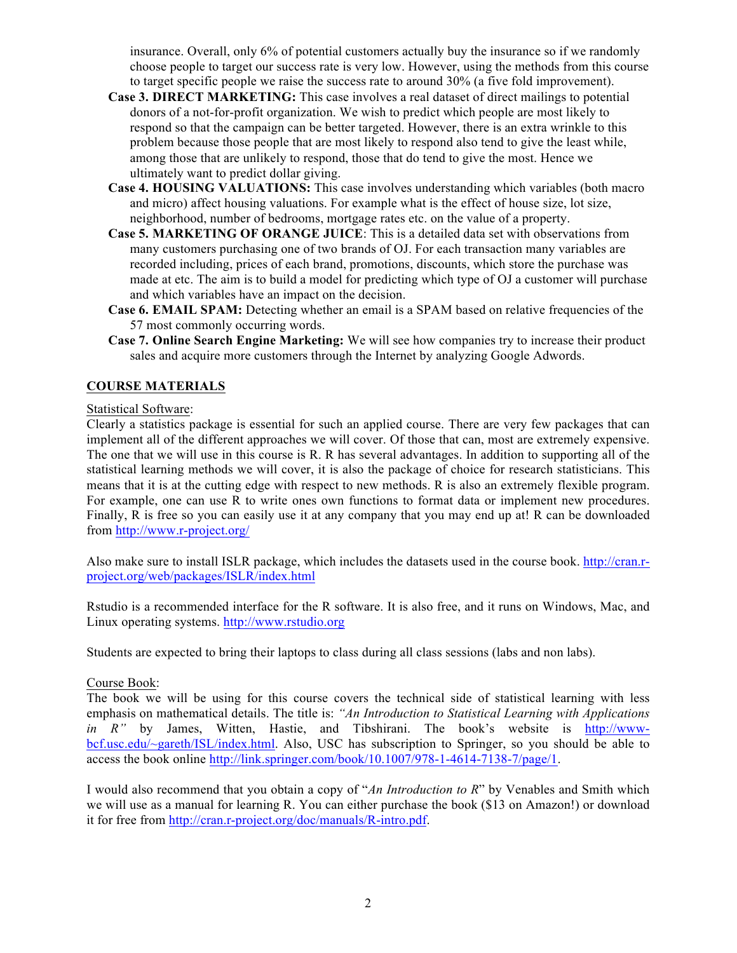insurance. Overall, only 6% of potential customers actually buy the insurance so if we randomly choose people to target our success rate is very low. However, using the methods from this course to target specific people we raise the success rate to around 30% (a five fold improvement).

- **Case 3. DIRECT MARKETING:** This case involves a real dataset of direct mailings to potential donors of a not-for-profit organization. We wish to predict which people are most likely to respond so that the campaign can be better targeted. However, there is an extra wrinkle to this problem because those people that are most likely to respond also tend to give the least while, among those that are unlikely to respond, those that do tend to give the most. Hence we ultimately want to predict dollar giving.
- **Case 4. HOUSING VALUATIONS:** This case involves understanding which variables (both macro and micro) affect housing valuations. For example what is the effect of house size, lot size, neighborhood, number of bedrooms, mortgage rates etc. on the value of a property.
- **Case 5. MARKETING OF ORANGE JUICE**: This is a detailed data set with observations from many customers purchasing one of two brands of OJ. For each transaction many variables are recorded including, prices of each brand, promotions, discounts, which store the purchase was made at etc. The aim is to build a model for predicting which type of OJ a customer will purchase and which variables have an impact on the decision.
- **Case 6. EMAIL SPAM:** Detecting whether an email is a SPAM based on relative frequencies of the 57 most commonly occurring words.
- **Case 7. Online Search Engine Marketing:** We will see how companies try to increase their product sales and acquire more customers through the Internet by analyzing Google Adwords.

## **COURSE MATERIALS**

#### Statistical Software:

Clearly a statistics package is essential for such an applied course. There are very few packages that can implement all of the different approaches we will cover. Of those that can, most are extremely expensive. The one that we will use in this course is R. R has several advantages. In addition to supporting all of the statistical learning methods we will cover, it is also the package of choice for research statisticians. This means that it is at the cutting edge with respect to new methods. R is also an extremely flexible program. For example, one can use R to write ones own functions to format data or implement new procedures. Finally, R is free so you can easily use it at any company that you may end up at! R can be downloaded from http://www.r-project.org/

Also make sure to install ISLR package, which includes the datasets used in the course book. http://cran.rproject.org/web/packages/ISLR/index.html

Rstudio is a recommended interface for the R software. It is also free, and it runs on Windows, Mac, and Linux operating systems. http://www.rstudio.org

Students are expected to bring their laptops to class during all class sessions (labs and non labs).

#### Course Book:

The book we will be using for this course covers the technical side of statistical learning with less emphasis on mathematical details. The title is: *"An Introduction to Statistical Learning with Applications in R"* by James, Witten, Hastie, and Tibshirani. The book's website is http://wwwbcf.usc.edu/~gareth/ISL/index.html. Also, USC has subscription to Springer, so you should be able to access the book online http://link.springer.com/book/10.1007/978-1-4614-7138-7/page/1.

I would also recommend that you obtain a copy of "*An Introduction to R*" by Venables and Smith which we will use as a manual for learning R. You can either purchase the book (\$13 on Amazon!) or download it for free from http://cran.r-project.org/doc/manuals/R-intro.pdf.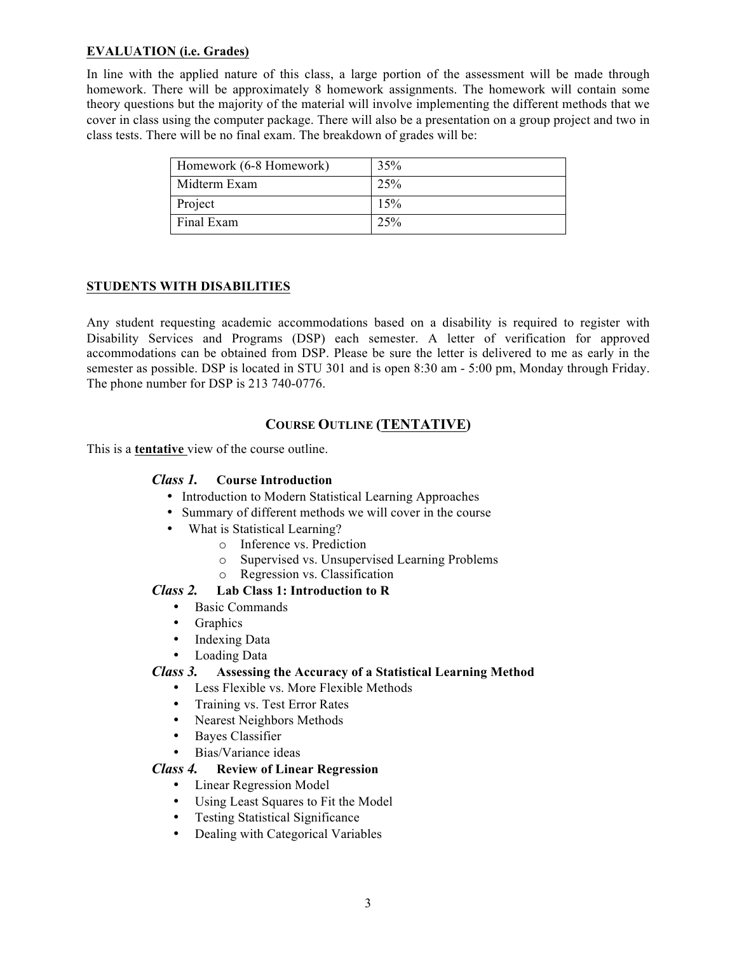## **EVALUATION (i.e. Grades)**

In line with the applied nature of this class, a large portion of the assessment will be made through homework. There will be approximately 8 homework assignments. The homework will contain some theory questions but the majority of the material will involve implementing the different methods that we cover in class using the computer package. There will also be a presentation on a group project and two in class tests. There will be no final exam. The breakdown of grades will be:

| Homework (6-8 Homework) | 35% |
|-------------------------|-----|
| Midterm Exam            | 25% |
| Project                 | 15% |
| Final Exam              | 25% |

#### **STUDENTS WITH DISABILITIES**

Any student requesting academic accommodations based on a disability is required to register with Disability Services and Programs (DSP) each semester. A letter of verification for approved accommodations can be obtained from DSP. Please be sure the letter is delivered to me as early in the semester as possible. DSP is located in STU 301 and is open 8:30 am - 5:00 pm, Monday through Friday. The phone number for DSP is 213 740-0776.

## **COURSE OUTLINE (TENTATIVE)**

This is a **tentative** view of the course outline.

### *Class 1.* **Course Introduction**

- Introduction to Modern Statistical Learning Approaches
- Summary of different methods we will cover in the course
- What is Statistical Learning?
	- o Inference vs. Prediction
		- o Supervised vs. Unsupervised Learning Problems
	- o Regression vs. Classification

#### *Class 2.* **Lab Class 1: Introduction to R**

- Basic Commands
- **Graphics**
- Indexing Data
- Loading Data

#### *Class 3.* **Assessing the Accuracy of a Statistical Learning Method**

- Less Flexible vs. More Flexible Methods
- Training vs. Test Error Rates
- Nearest Neighbors Methods
- Bayes Classifier
- Bias/Variance ideas

#### *Class 4.* **Review of Linear Regression**

- Linear Regression Model
- Using Least Squares to Fit the Model
- Testing Statistical Significance
- Dealing with Categorical Variables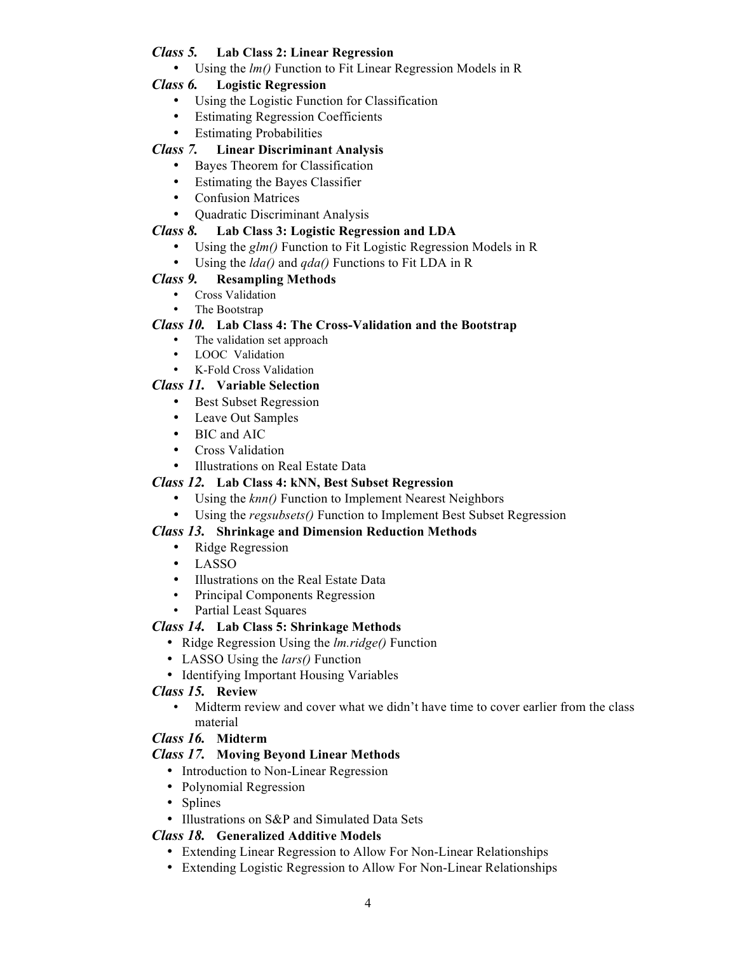# *Class 5.* **Lab Class 2: Linear Regression**

• Using the *lm()* Function to Fit Linear Regression Models in R

## *Class 6.* **Logistic Regression**

- Using the Logistic Function for Classification
- Estimating Regression Coefficients
- Estimating Probabilities

## *Class 7.* **Linear Discriminant Analysis**

- Bayes Theorem for Classification
- Estimating the Bayes Classifier
- Confusion Matrices
- Quadratic Discriminant Analysis

#### *Class 8.* **Lab Class 3: Logistic Regression and LDA**

- Using the *glm()* Function to Fit Logistic Regression Models in R
- Using the *lda()* and *qda()* Functions to Fit LDA in R

## *Class 9.* **Resampling Methods**

- Cross Validation
- The Bootstrap

#### *Class 10.* **Lab Class 4: The Cross-Validation and the Bootstrap**

- The validation set approach
- LOOC Validation
- K-Fold Cross Validation

## *Class 11.* **Variable Selection**

- Best Subset Regression
- Leave Out Samples
- BIC and AIC
- Cross Validation
- Illustrations on Real Estate Data

## *Class 12.* **Lab Class 4: kNN, Best Subset Regression**

- Using the *knn()* Function to Implement Nearest Neighbors
- Using the *regsubsets()* Function to Implement Best Subset Regression

#### *Class 13.* **Shrinkage and Dimension Reduction Methods**

- Ridge Regression
- LASSO
- Illustrations on the Real Estate Data
- Principal Components Regression
- Partial Least Squares

## *Class 14.* **Lab Class 5: Shrinkage Methods**

- Ridge Regression Using the *lm.ridge()* Function
- LASSO Using the *lars()* Function
- Identifying Important Housing Variables

#### *Class 15.* **Review**

• Midterm review and cover what we didn't have time to cover earlier from the class material

## *Class 16.* **Midterm**

## *Class 17.* **Moving Beyond Linear Methods**

- Introduction to Non-Linear Regression
- Polynomial Regression
- Splines
- Illustrations on S&P and Simulated Data Sets

## *Class 18.* **Generalized Additive Models**

- Extending Linear Regression to Allow For Non-Linear Relationships
- Extending Logistic Regression to Allow For Non-Linear Relationships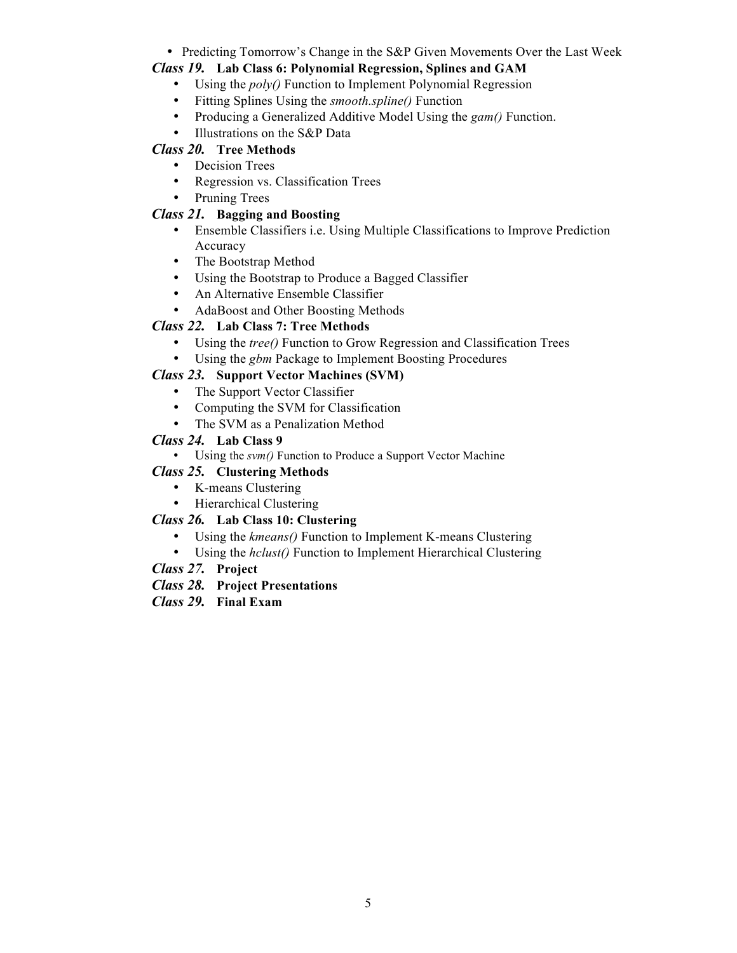• Predicting Tomorrow's Change in the S&P Given Movements Over the Last Week

# *Class 19.* **Lab Class 6: Polynomial Regression, Splines and GAM**

- Using the *poly()* Function to Implement Polynomial Regression
- Fitting Splines Using the *smooth.spline()* Function
- Producing a Generalized Additive Model Using the *gam()* Function.
- Illustrations on the S&P Data

# *Class 20.* **Tree Methods**

- Decision Trees
- Regression vs. Classification Trees
- Pruning Trees

# *Class 21.* **Bagging and Boosting**

- Ensemble Classifiers i.e. Using Multiple Classifications to Improve Prediction Accuracy
- The Bootstrap Method
- Using the Bootstrap to Produce a Bagged Classifier
- An Alternative Ensemble Classifier
- AdaBoost and Other Boosting Methods

# *Class 22.* **Lab Class 7: Tree Methods**

- Using the *tree()* Function to Grow Regression and Classification Trees
- Using the *gbm* Package to Implement Boosting Procedures

# *Class 23.* **Support Vector Machines (SVM)**

- The Support Vector Classifier
- Computing the SVM for Classification
- The SVM as a Penalization Method

# *Class 24.* **Lab Class 9**

• Using the *svm()* Function to Produce a Support Vector Machine

# *Class 25.* **Clustering Methods**

- K-means Clustering
- Hierarchical Clustering

# *Class 26.* **Lab Class 10: Clustering**

- Using the *kmeans()* Function to Implement K-means Clustering
- Using the *hclust()* Function to Implement Hierarchical Clustering
- *Class 27.* **Project**
- *Class 28.* **Project Presentations**
- *Class 29.* **Final Exam**